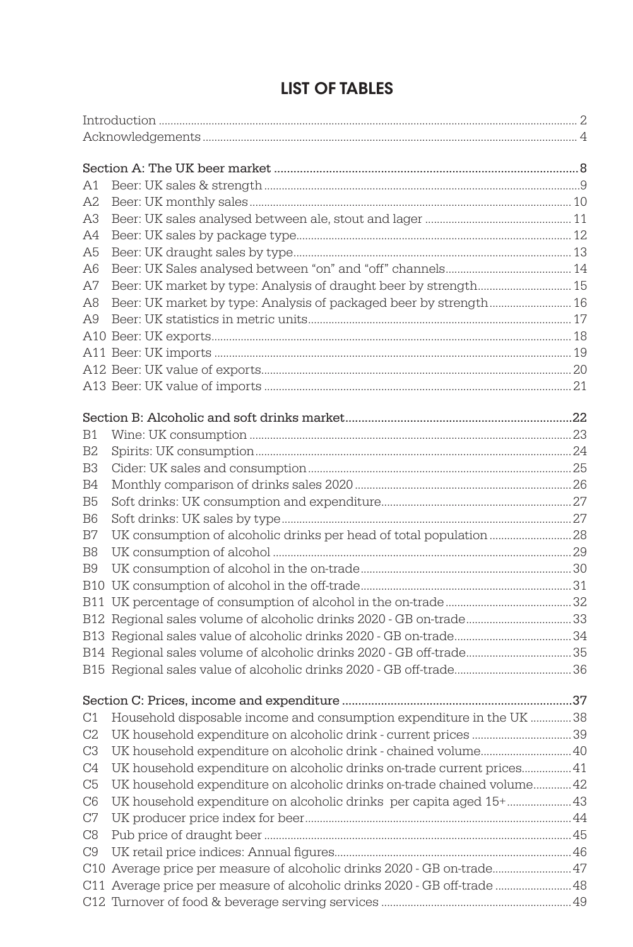| A1             |                                                                           |  |
|----------------|---------------------------------------------------------------------------|--|
| A2             |                                                                           |  |
| A3             |                                                                           |  |
| A4             |                                                                           |  |
| A5             |                                                                           |  |
| A6             |                                                                           |  |
| A7             | Beer: UK market by type: Analysis of draught beer by strength 15          |  |
| A8             | Beer: UK market by type: Analysis of packaged beer by strength 16         |  |
| A9             |                                                                           |  |
|                |                                                                           |  |
|                |                                                                           |  |
|                |                                                                           |  |
|                |                                                                           |  |
|                |                                                                           |  |
| <b>B1</b>      |                                                                           |  |
| B <sub>2</sub> |                                                                           |  |
| B <sub>3</sub> |                                                                           |  |
| B4             |                                                                           |  |
| B5             |                                                                           |  |
| B <sub>6</sub> |                                                                           |  |
| B7             |                                                                           |  |
| B8             |                                                                           |  |
| B9             |                                                                           |  |
|                |                                                                           |  |
|                |                                                                           |  |
|                | B12 Regional sales volume of alcoholic drinks 2020 - GB on-trade33        |  |
|                |                                                                           |  |
|                |                                                                           |  |
|                |                                                                           |  |
|                |                                                                           |  |
| C1             | Household disposable income and consumption expenditure in the UK 38      |  |
| C2             |                                                                           |  |
| C <sub>3</sub> | UK household expenditure on alcoholic drink - chained volume 40           |  |
| C <sub>4</sub> | UK household expenditure on alcoholic drinks on-trade current prices 41   |  |
| C5             | UK household expenditure on alcoholic drinks on-trade chained volume 42   |  |
| C <sub>6</sub> | UK household expenditure on alcoholic drinks per capita aged 15+ 43       |  |
| $\rm{C}7$      |                                                                           |  |
| C8             |                                                                           |  |
| C9             |                                                                           |  |
|                | C10 Average price per measure of alcoholic drinks 2020 - GB on-trade 47   |  |
|                | C11 Average price per measure of alcoholic drinks 2020 - GB off-trade  48 |  |
|                |                                                                           |  |

## LIST OF TABLES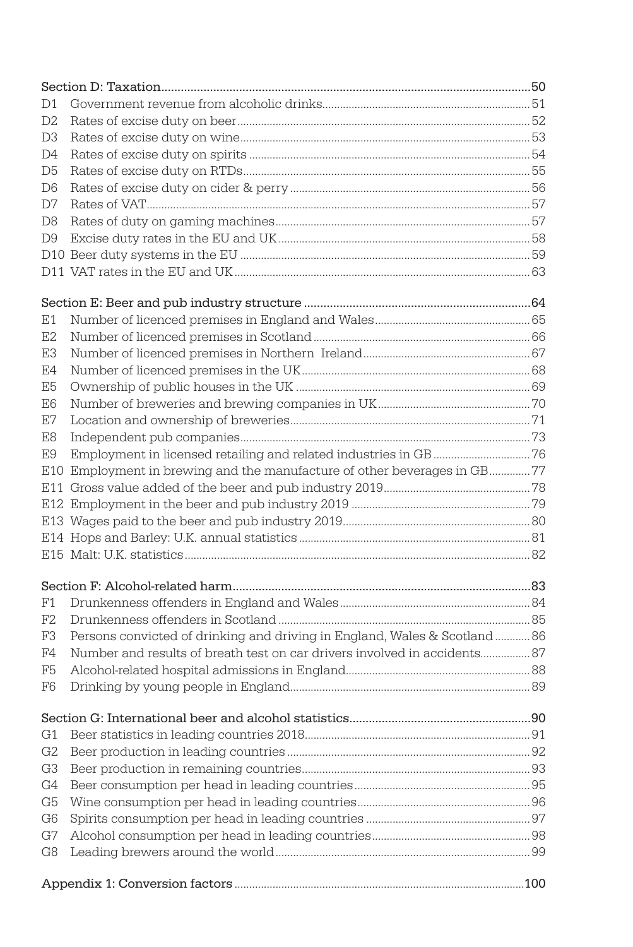| D1             |                                                                           |  |
|----------------|---------------------------------------------------------------------------|--|
| D <sub>2</sub> |                                                                           |  |
| D <sub>3</sub> |                                                                           |  |
| D4             |                                                                           |  |
| D5             |                                                                           |  |
| D6             |                                                                           |  |
| D7             |                                                                           |  |
| D8             |                                                                           |  |
| D9             |                                                                           |  |
|                |                                                                           |  |
|                |                                                                           |  |
|                |                                                                           |  |
| Ε1             |                                                                           |  |
| E <sub>2</sub> |                                                                           |  |
| E3             |                                                                           |  |
| E4             |                                                                           |  |
| E5             |                                                                           |  |
| E6             |                                                                           |  |
| E7             |                                                                           |  |
| E8             |                                                                           |  |
| E9             |                                                                           |  |
|                | E10 Employment in brewing and the manufacture of other beverages in GB77  |  |
|                |                                                                           |  |
|                |                                                                           |  |
|                |                                                                           |  |
|                |                                                                           |  |
|                |                                                                           |  |
|                |                                                                           |  |
| F1             |                                                                           |  |
| F2             |                                                                           |  |
| F3             | Persons convicted of drinking and driving in England, Wales & Scotland 86 |  |
| F4             | Number and results of breath test on car drivers involved in accidents 87 |  |
| F5             |                                                                           |  |
| F6             |                                                                           |  |
|                |                                                                           |  |
| G1             |                                                                           |  |
| G <sub>2</sub> |                                                                           |  |
| G <sub>3</sub> |                                                                           |  |
| G4             |                                                                           |  |
| G <sub>5</sub> |                                                                           |  |
| G <sub>6</sub> |                                                                           |  |
| G7             |                                                                           |  |
| G8             |                                                                           |  |
|                |                                                                           |  |